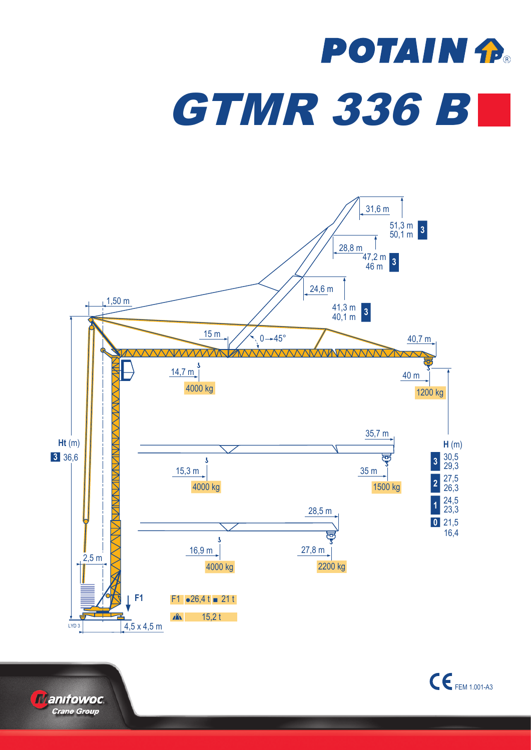## **POTAIN P. GTMR 336 BL**





 $\mathsf{C}\boldsymbol{\epsilon}$  FEM 1.001-A3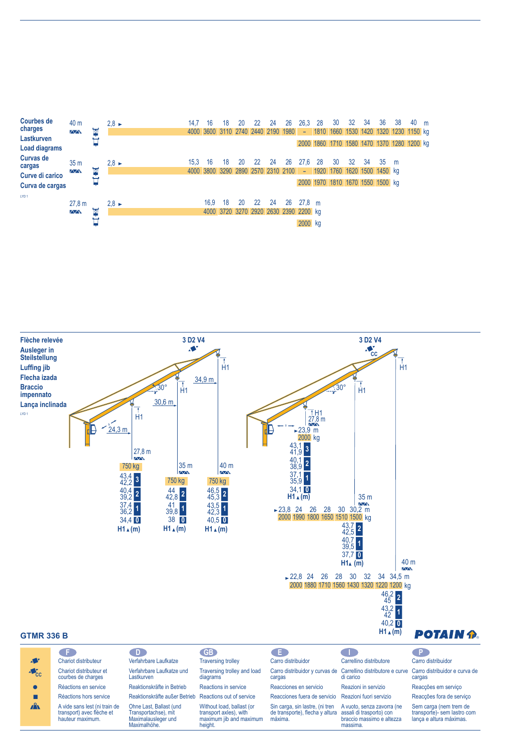



Reaktionskräfte außer Betrieb Reactions out of service

height.

Without load, ballast (or transport axles), with maximum jib and maximum Reacciones fuera de servicio Reazioni fuori servizio Sin carga, sin lastre, (ni tren A vuoto, senza zavorra (ne

assali di trasporto) con braccio massimo e altezza massima.

de transporte), flecha y altura

máxima.

Ohne Last, Ballast (und Transportachse), mit Maximalausleger und Maximalhöhe.

Réactions hors service A vide sans lest (ni train de transport) avec flèche et hauteur maximum.

 $\blacksquare$  $\mathbf{A}$ 

| Reaccoes em serviço      |  |  |
|--------------------------|--|--|
| Reacções fora de serviço |  |  |

Sem carga (nem trem de transporte)- sem lastro com lança e altura máximas.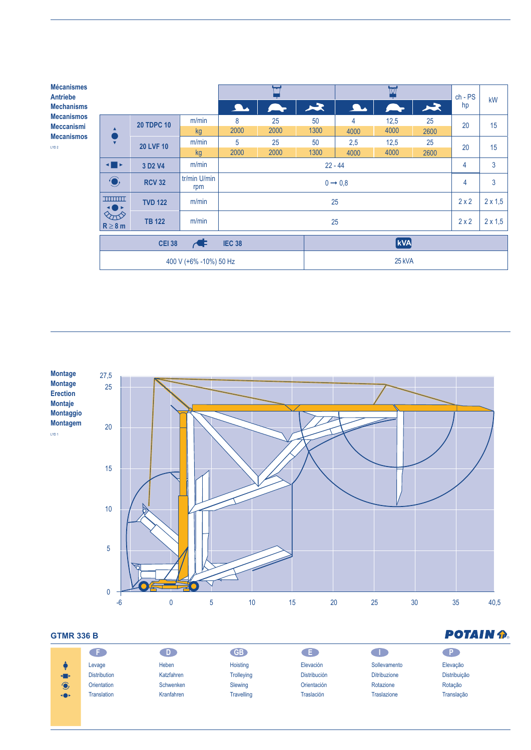| <b>Mécanismes</b><br><b>Antriebe</b>                                            |                                                                                     |                                 |                     |                     | <b>M</b> |            | $ch - PS$ | kW             |               |                |    |
|---------------------------------------------------------------------------------|-------------------------------------------------------------------------------------|---------------------------------|---------------------|---------------------|----------|------------|-----------|----------------|---------------|----------------|----|
| <b>Mechanisms</b>                                                               |                                                                                     |                                 |                     | <b>A</b>            |          | 大          | $\Delta$  | $\mathbb{R}^n$ | $\rightarrow$ | hp             |    |
| <b>Mecanismos</b><br><b>Meccanismi</b><br><b>Mecanismos</b><br>LYD <sub>2</sub> | O<br>$\overline{\mathbf{v}}$                                                        | <b>20 TDPC 10</b>               | m/min               | 8                   | 25       | 50         | 4         | 12,5           | 25            | 20             | 15 |
|                                                                                 |                                                                                     |                                 | kg                  | 2000                | 2000     | 1300       | 4000      | 4000           | 2600          |                |    |
|                                                                                 |                                                                                     | <b>20 LVF 10</b>                | m/min               | 5                   | 25       | 50         | 2,5       | 12,5           | 25            | 20             | 15 |
|                                                                                 |                                                                                     |                                 | kg                  | 2000                | 2000     | 1300       | 4000      | 4000           | 2600          |                |    |
|                                                                                 | ◂▮▸                                                                                 | 3 D <sub>2</sub> V <sub>4</sub> | m/min               | $22 - 44$           |          |            |           |                | 4             | 3              |    |
|                                                                                 | $\bigodot$                                                                          | <b>RCV 32</b>                   | tr/min U/min<br>rpm | $0 \rightarrow 0.8$ |          |            |           |                | 4             | 3              |    |
|                                                                                 | <b>THURSE</b><br><b>+0</b> +                                                        | <b>TVD 122</b>                  | m/min               | 25                  |          |            |           |                | 2x2           | $2 \times 1,5$ |    |
|                                                                                 | $\mathbb{Q}_{\mathbb{Z}}$<br>$R \geq 8$ m                                           | <b>TB 122</b>                   | m/min               | 25                  |          |            |           |                | $2 \times 2$  | $2 \times 1,5$ |    |
|                                                                                 | $\overline{\mathbf{r}}$<br><b>IEC 38</b><br><b>CEI 38</b><br>400 V (+6% -10%) 50 Hz |                                 |                     |                     |          | <b>kVA</b> |           |                |               |                |    |
|                                                                                 |                                                                                     |                                 |                     |                     |          | 25 kVA     |           |                |               |                |    |



## **GTMR 336 B**

| <b>GTMR 336 B</b> | <b>POTAIN P.</b>    |            |                   |                     |                     |              |
|-------------------|---------------------|------------|-------------------|---------------------|---------------------|--------------|
|                   | a s                 | D.         | <b>GB</b>         | Œ                   |                     | $\mathsf{P}$ |
|                   | Levage              | Heben      | Hoisting          | Elevación           | Sollevamento        | Elevação     |
| $\blacksquare$    | <b>Distribution</b> | Katzfahren | <b>Trolleying</b> | <b>Distribución</b> | <b>Ditribuzione</b> | Distribuição |
| $\bigodot$        | Orientation         | Schwenken  | Slewing           | <b>Orientación</b>  | Rotazione           | Rotação      |
| <b>+0+</b>        | Translation         | Kranfahren | <b>Travelling</b> | Traslación          | <b>Traslazione</b>  | Translação   |